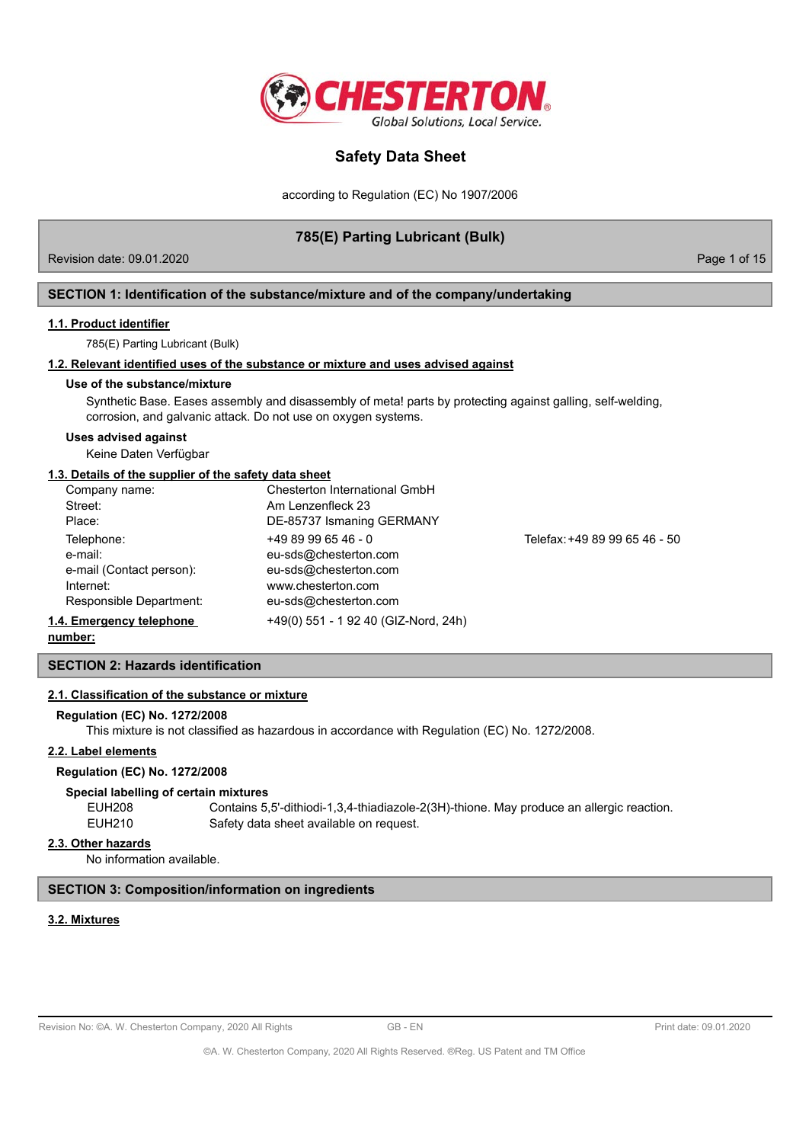

according to Regulation (EC) No 1907/2006

# **785(E) Parting Lubricant (Bulk)**

Revision date: 09.01.2020 **Page 1 of 15** November 2012 12:00 Page 1 of 15

## **SECTION 1: Identification of the substance/mixture and of the company/undertaking**

### **1.1. Product identifier**

785(E) Parting Lubricant (Bulk)

# **1.2. Relevant identified uses of the substance or mixture and uses advised against**

### **Use of the substance/mixture**

Synthetic Base. Eases assembly and disassembly of meta! parts by protecting against galling, self-welding, corrosion, and galvanic attack. Do not use on oxygen systems.

### **Uses advised against**

Keine Daten Verfügbar

## **1.3. Details of the supplier of the safety data sheet**

|                          | Company name:            | Chesterton International GmbH        |                               |
|--------------------------|--------------------------|--------------------------------------|-------------------------------|
|                          | Street:                  | Am Lenzenfleck 23                    |                               |
|                          | Place:                   | DE-85737 Ismaning GERMANY            |                               |
|                          | Telephone:               | $+4989996546 - 0$                    | Telefax: +49 89 99 65 46 - 50 |
|                          | e-mail:                  | eu-sds@chesterton.com                |                               |
|                          | e-mail (Contact person): | eu-sds@chesterton.com                |                               |
|                          | Internet:                | www.chesterton.com                   |                               |
|                          | Responsible Department:  | eu-sds@chesterton.com                |                               |
| 1.4. Emergency telephone |                          | +49(0) 551 - 1 92 40 (GIZ-Nord, 24h) |                               |
|                          |                          |                                      |                               |

**number:**

# **SECTION 2: Hazards identification**

## **2.1. Classification of the substance or mixture**

## **Regulation (EC) No. 1272/2008**

This mixture is not classified as hazardous in accordance with Regulation (EC) No. 1272/2008.

### **2.2. Label elements**

## **Regulation (EC) No. 1272/2008**

### **Special labelling of certain mixtures**

| EUH208 | Contains 5,5'-dithiodi-1,3,4-thiadiazole-2(3H)-thione. May produce an allergic reaction. |
|--------|------------------------------------------------------------------------------------------|
| EUH210 | Safety data sheet available on request.                                                  |

## **2.3. Other hazards**

No information available.

## **SECTION 3: Composition/information on ingredients**

# **3.2. Mixtures**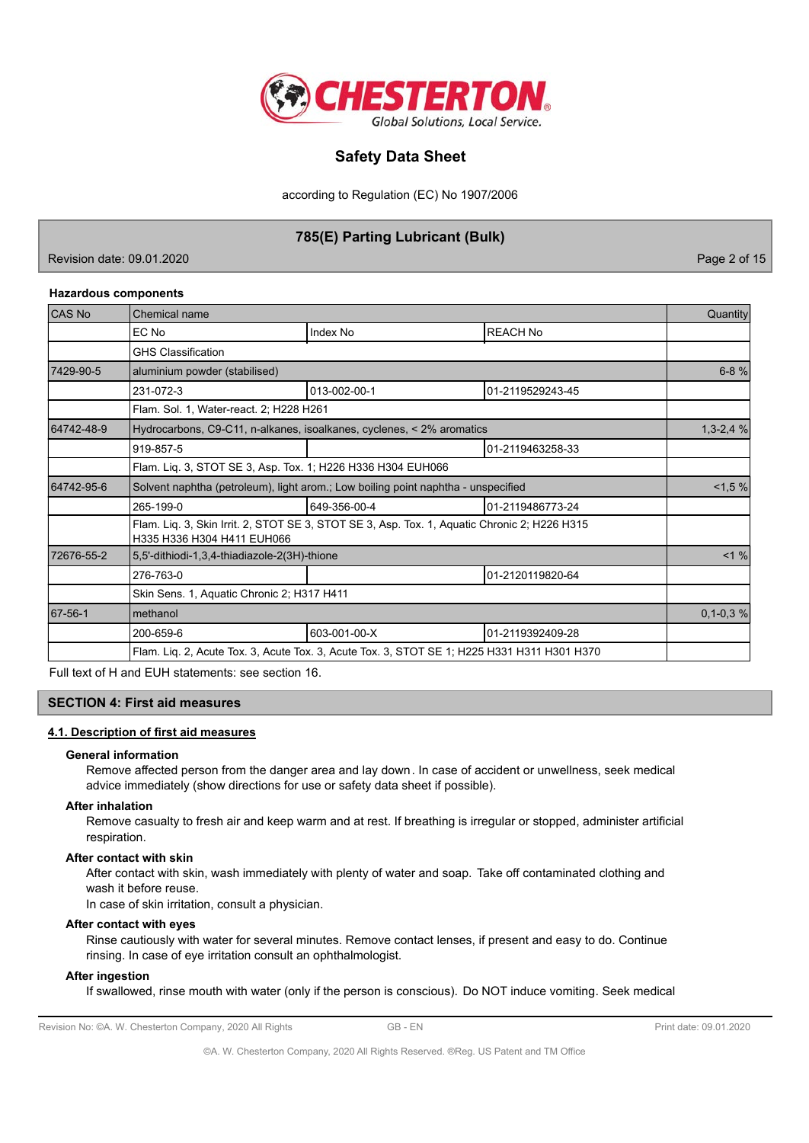

according to Regulation (EC) No 1907/2006

# **785(E) Parting Lubricant (Bulk)**

Revision date: 09.01.2020 **Page 2 of 15** No. 2020 **Page 2 of 15** 

### **Hazardous components**

| CAS No     | Chemical name                                                                               |                                                                                              |                  |            |  |  |  |
|------------|---------------------------------------------------------------------------------------------|----------------------------------------------------------------------------------------------|------------------|------------|--|--|--|
|            | EC No                                                                                       | Index No                                                                                     | <b>REACH No</b>  |            |  |  |  |
|            | <b>GHS Classification</b>                                                                   |                                                                                              |                  |            |  |  |  |
| 7429-90-5  | aluminium powder (stabilised)                                                               |                                                                                              |                  | $6 - 8 %$  |  |  |  |
|            | 231-072-3                                                                                   | 013-002-00-1                                                                                 | 01-2119529243-45 |            |  |  |  |
|            | Flam. Sol. 1, Water-react. 2; H228 H261                                                     |                                                                                              |                  |            |  |  |  |
| 64742-48-9 |                                                                                             | Hydrocarbons, C9-C11, n-alkanes, isoalkanes, cyclenes, < 2% aromatics                        |                  | $1,3-2,4%$ |  |  |  |
|            | 919-857-5                                                                                   |                                                                                              | 01-2119463258-33 |            |  |  |  |
|            | Flam. Liq. 3, STOT SE 3, Asp. Tox. 1; H226 H336 H304 EUH066                                 |                                                                                              |                  |            |  |  |  |
| 64742-95-6 | Solvent naphtha (petroleum), light arom.; Low boiling point naphtha - unspecified           |                                                                                              |                  |            |  |  |  |
|            | 265-199-0                                                                                   | 649-356-00-4                                                                                 | 01-2119486773-24 |            |  |  |  |
|            | H335 H336 H304 H411 EUH066                                                                  | Flam. Liq. 3, Skin Irrit. 2, STOT SE 3, STOT SE 3, Asp. Tox. 1, Aquatic Chronic 2; H226 H315 |                  |            |  |  |  |
| 72676-55-2 | 5,5'-dithiodi-1,3,4-thiadiazole-2(3H)-thione                                                |                                                                                              | $< 1 \%$         |            |  |  |  |
|            | 276-763-0                                                                                   |                                                                                              | 01-2120119820-64 |            |  |  |  |
|            | Skin Sens. 1, Aquatic Chronic 2; H317 H411                                                  |                                                                                              |                  |            |  |  |  |
| 67-56-1    | methanol                                                                                    |                                                                                              | $0,1-0,3%$       |            |  |  |  |
|            | 200-659-6                                                                                   | 603-001-00-X                                                                                 | 01-2119392409-28 |            |  |  |  |
|            | Flam. Lig. 2, Acute Tox. 3, Acute Tox. 3, Acute Tox. 3, STOT SE 1; H225 H331 H311 H301 H370 |                                                                                              |                  |            |  |  |  |

Full text of H and EUH statements: see section 16.

## **SECTION 4: First aid measures**

## **4.1. Description of first aid measures**

#### **General information**

Remove affected person from the danger area and lay down. In case of accident or unwellness, seek medical advice immediately (show directions for use or safety data sheet if possible).

### **After inhalation**

Remove casualty to fresh air and keep warm and at rest. If breathing is irregular or stopped, administer artificial respiration.

## **After contact with skin**

After contact with skin, wash immediately with plenty of water and soap. Take off contaminated clothing and wash it before reuse.

In case of skin irritation, consult a physician.

### **After contact with eyes**

Rinse cautiously with water for several minutes. Remove contact lenses, if present and easy to do. Continue rinsing. In case of eye irritation consult an ophthalmologist.

# **After ingestion**

If swallowed, rinse mouth with water (only if the person is conscious). Do NOT induce vomiting. Seek medical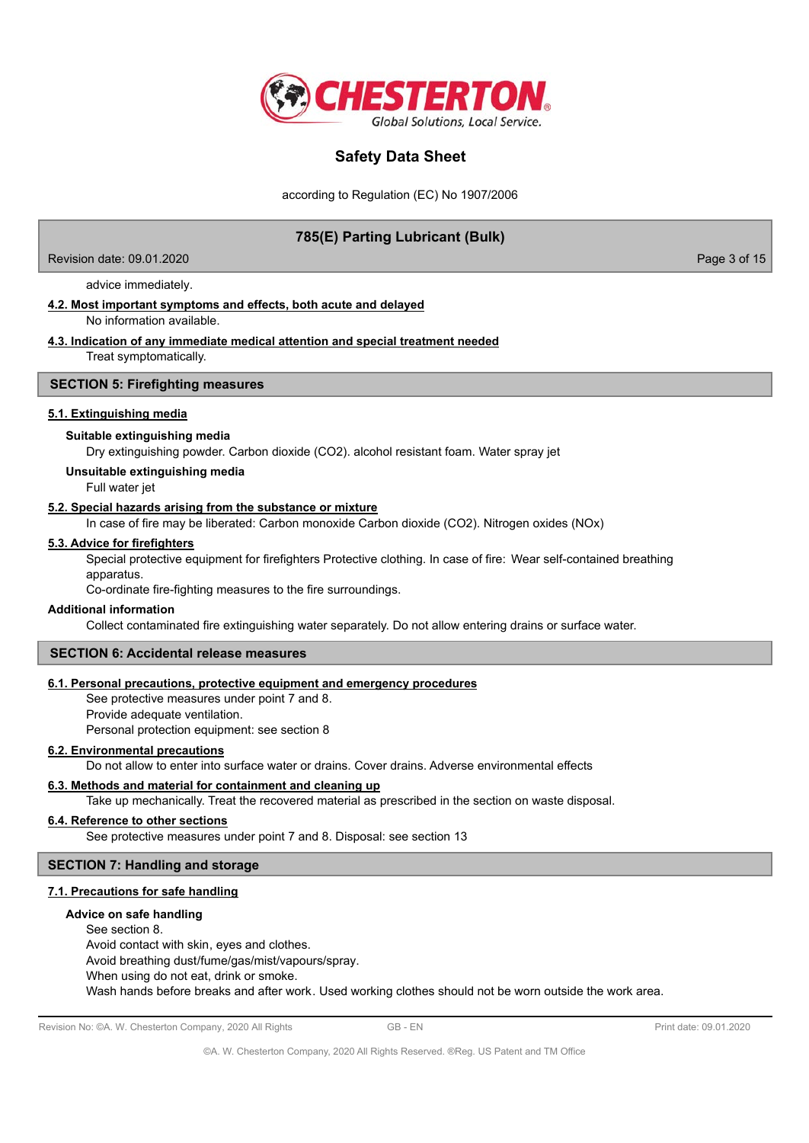

according to Regulation (EC) No 1907/2006

# **785(E) Parting Lubricant (Bulk)**

Revision date: 09.01.2020 **Page 3 of 15** and 2011 **Page 3 of 15** and 2012 **Page 3 of 15** 

advice immediately.

# **4.2. Most important symptoms and effects, both acute and delayed**

No information available.

### **4.3. Indication of any immediate medical attention and special treatment needed** Treat symptomatically.

### **SECTION 5: Firefighting measures**

### **5.1. Extinguishing media**

### **Suitable extinguishing media**

Dry extinguishing powder. Carbon dioxide (CO2). alcohol resistant foam. Water spray jet

**Unsuitable extinguishing media**

Full water jet

## **5.2. Special hazards arising from the substance or mixture**

In case of fire may be liberated: Carbon monoxide Carbon dioxide (CO2). Nitrogen oxides (NOx)

### **5.3. Advice for firefighters**

Special protective equipment for firefighters Protective clothing. In case of fire: Wear self-contained breathing apparatus.

Co-ordinate fire-fighting measures to the fire surroundings.

## **Additional information**

Collect contaminated fire extinguishing water separately. Do not allow entering drains or surface water.

### **SECTION 6: Accidental release measures**

### **6.1. Personal precautions, protective equipment and emergency procedures**

See protective measures under point 7 and 8. Provide adequate ventilation. Personal protection equipment: see section 8

### **6.2. Environmental precautions**

Do not allow to enter into surface water or drains. Cover drains. Adverse environmental effects

## **6.3. Methods and material for containment and cleaning up**

Take up mechanically. Treat the recovered material as prescribed in the section on waste disposal.

### **6.4. Reference to other sections**

See protective measures under point 7 and 8. Disposal: see section 13

## **SECTION 7: Handling and storage**

## **7.1. Precautions for safe handling**

### **Advice on safe handling**

See section 8. Avoid contact with skin, eyes and clothes. Avoid breathing dust/fume/gas/mist/vapours/spray. When using do not eat, drink or smoke. Wash hands before breaks and after work. Used working clothes should not be worn outside the work area.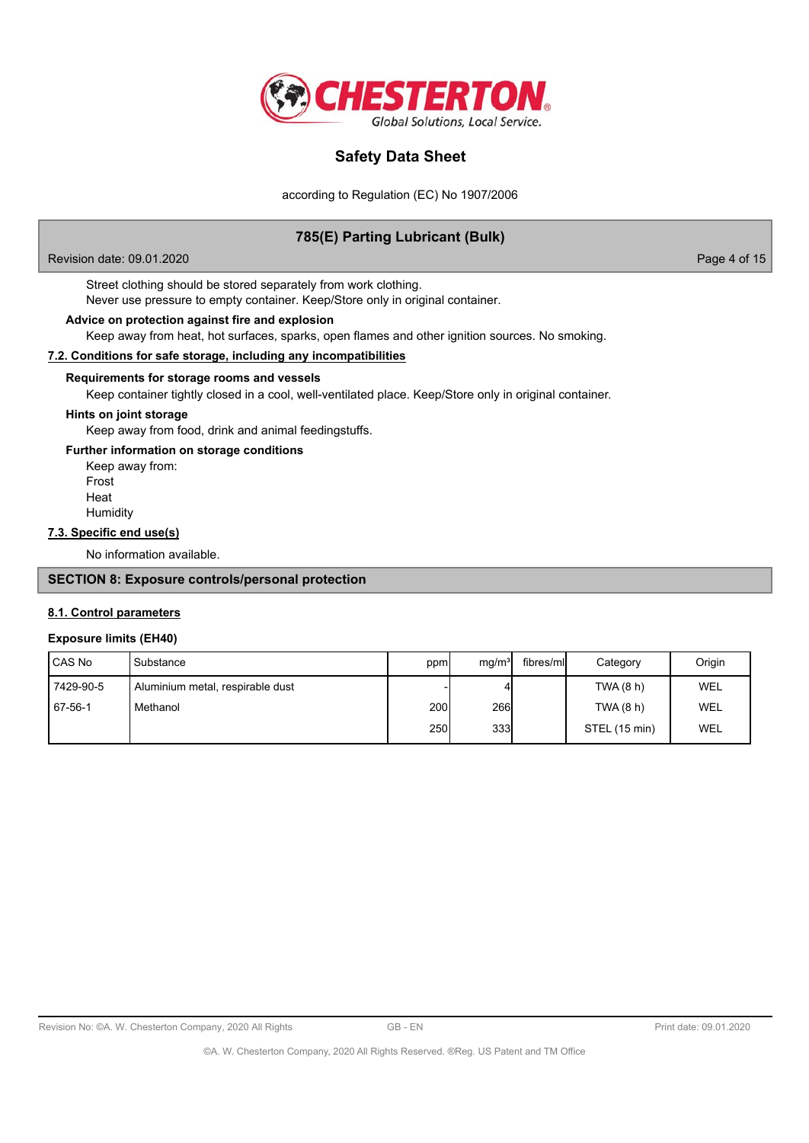

according to Regulation (EC) No 1907/2006

# **785(E) Parting Lubricant (Bulk)**

Revision date: 09.01.2020 **Page 4 of 15** 

Street clothing should be stored separately from work clothing. Never use pressure to empty container. Keep/Store only in original container.

### **Advice on protection against fire and explosion**

Keep away from heat, hot surfaces, sparks, open flames and other ignition sources. No smoking.

### **7.2. Conditions for safe storage, including any incompatibilities**

## **Requirements for storage rooms and vessels**

Keep container tightly closed in a cool, well-ventilated place. Keep/Store only in original container.

## **Hints on joint storage**

Keep away from food, drink and animal feedingstuffs.

# **Further information on storage conditions**

Keep away from: Frost Heat **Humidity** 

## **7.3. Specific end use(s)**

No information available.

# **SECTION 8: Exposure controls/personal protection**

## **8.1. Control parameters**

### **Exposure limits (EH40)**

| <b>CAS No</b> | l Substance                      | ppm   | mg/m <sup>3</sup> | fibres/mll | Category      | Origin     |
|---------------|----------------------------------|-------|-------------------|------------|---------------|------------|
| 7429-90-5     | Aluminium metal, respirable dust |       |                   |            | TWA (8 h)     | WEL        |
| 67-56-1       | Methanol                         | 200 l | 266               |            | TWA (8 h)     | WEL        |
|               |                                  | 250l  | 333               |            | STEL (15 min) | <b>WEL</b> |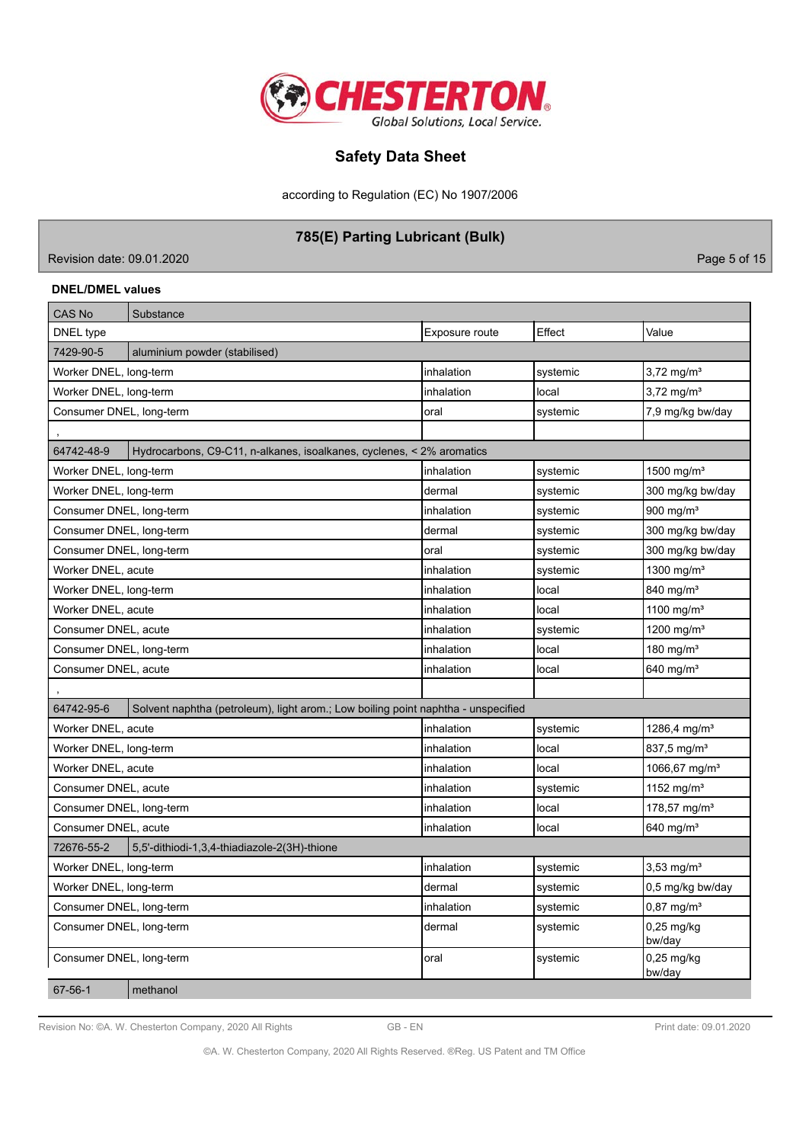

according to Regulation (EC) No 1907/2006

# **785(E) Parting Lubricant (Bulk)**

Revision date: 09.01.2020 **Page 5 of 15** 

# **DNEL/DMEL values**

| <b>CAS No</b>            | Substance                                                                         |                |          |                           |
|--------------------------|-----------------------------------------------------------------------------------|----------------|----------|---------------------------|
| DNEL type                |                                                                                   | Exposure route | Effect   | Value                     |
| 7429-90-5                | aluminium powder (stabilised)                                                     |                |          |                           |
| Worker DNEL, long-term   |                                                                                   | inhalation     | systemic | $3,72 \,\mathrm{mg/m^3}$  |
| Worker DNEL, long-term   |                                                                                   | inhalation     | local    | $3,72$ mg/m <sup>3</sup>  |
| Consumer DNEL, long-term |                                                                                   | oral           | systemic | 7,9 mg/kg bw/day          |
|                          |                                                                                   |                |          |                           |
| 64742-48-9               | Hydrocarbons, C9-C11, n-alkanes, isoalkanes, cyclenes, < 2% aromatics             |                |          |                           |
| Worker DNEL, long-term   |                                                                                   | inhalation     | systemic | 1500 mg/m <sup>3</sup>    |
| Worker DNEL, long-term   |                                                                                   | dermal         | systemic | 300 mg/kg bw/day          |
| Consumer DNEL, long-term |                                                                                   | inhalation     | systemic | 900 mg/m $3$              |
| Consumer DNEL, long-term |                                                                                   | dermal         | systemic | 300 mg/kg bw/day          |
| Consumer DNEL, long-term |                                                                                   | oral           | systemic | 300 mg/kg bw/day          |
| Worker DNEL, acute       |                                                                                   | inhalation     | systemic | 1300 mg/m <sup>3</sup>    |
| Worker DNEL, long-term   |                                                                                   | inhalation     | local    | 840 mg/m <sup>3</sup>     |
| Worker DNEL, acute       |                                                                                   | inhalation     | local    | 1100 mg/m <sup>3</sup>    |
| Consumer DNEL, acute     |                                                                                   | inhalation     | systemic | 1200 mg/m <sup>3</sup>    |
| Consumer DNEL, long-term |                                                                                   | inhalation     | local    | 180 mg/ $m3$              |
| Consumer DNEL, acute     |                                                                                   | inhalation     | local    | 640 mg/m <sup>3</sup>     |
|                          |                                                                                   |                |          |                           |
| 64742-95-6               | Solvent naphtha (petroleum), light arom.; Low boiling point naphtha - unspecified |                |          |                           |
| Worker DNEL, acute       |                                                                                   | inhalation     | systemic | 1286,4 mg/m <sup>3</sup>  |
| Worker DNEL, long-term   |                                                                                   | inhalation     | local    | $837,5$ mg/m <sup>3</sup> |
| Worker DNEL, acute       |                                                                                   | inhalation     | local    | 1066,67 mg/m <sup>3</sup> |
| Consumer DNEL, acute     |                                                                                   | inhalation     | systemic | 1152 mg/m <sup>3</sup>    |
| Consumer DNEL, long-term |                                                                                   | inhalation     | local    | 178,57 mg/m <sup>3</sup>  |
| Consumer DNEL, acute     |                                                                                   | inhalation     | local    | 640 mg/m <sup>3</sup>     |
| 72676-55-2               | 5,5'-dithiodi-1,3,4-thiadiazole-2(3H)-thione                                      |                |          |                           |
| Worker DNEL, long-term   |                                                                                   | inhalation     | systemic | $3,53$ mg/m <sup>3</sup>  |
| Worker DNEL, long-term   |                                                                                   | dermal         | systemic | 0,5 mg/kg bw/day          |
| Consumer DNEL, long-term |                                                                                   | inhalation     | systemic | $0,87 \text{ mg/m}^3$     |
| Consumer DNEL, long-term |                                                                                   | dermal         | systemic | $0,25$ mg/kg<br>bw/day    |
| Consumer DNEL, long-term |                                                                                   | oral           | systemic | $0,25$ mg/kg<br>bw/day    |
| 67-56-1                  | methanol                                                                          |                |          |                           |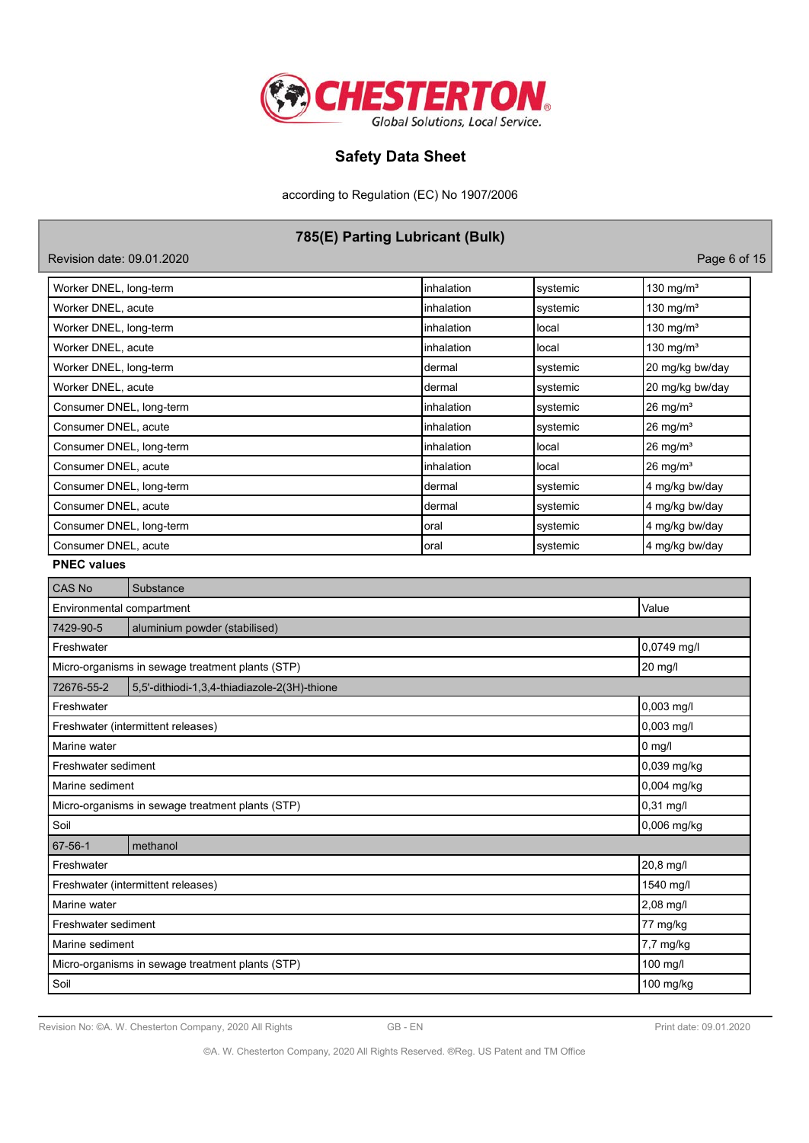

according to Regulation (EC) No 1907/2006

# **785(E) Parting Lubricant (Bulk)**

| Revision date: 09.01.2020 |             |          | Page 6 of 15          |
|---------------------------|-------------|----------|-----------------------|
| Worker DNEL, long-term    | linhalation | systemic | 130 mg/m <sup>3</sup> |
| Worker DNEL, acute        | linhalation | systemic | 130 mg/m <sup>3</sup> |
| Worker DNEL, long-term    | linhalation | local    | 130 mg/m <sup>3</sup> |
| Worker DNEL, acute        | linhalation | local    | 130 mg/m <sup>3</sup> |
| Worker DNEL, long-term    | Idermal     | systemic | 20 mg/kg bw/day       |
| Worker DNEL, acute        | Idermal     | systemic | 20 mg/kg bw/day       |
| Consumer DNEL, long-term  | linhalation | systemic | $26 \text{ mg/m}^3$   |
| Consumer DNEL, acute      | linhalation | systemic | $26 \text{ mg/m}^3$   |
| Consumer DNEL, long-term  | linhalation | local    | $26 \text{ mg/m}^3$   |
| Consumer DNEL, acute      | linhalation | local    | $26 \text{ mg/m}^3$   |
| Consumer DNEL, long-term  | Idermal     | systemic | 4 mg/kg bw/day        |
| Consumer DNEL, acute      | Idermal     | systemic | 4 mg/kg bw/day        |
| Consumer DNEL, long-term  | Ioral       | systemic | 4 mg/kg bw/day        |
| Consumer DNEL, acute      | Ioral       | systemic | 4 mg/kg bw/day        |

| <b>PNEC values</b> |  |
|--------------------|--|
|--------------------|--|

| CAS No                                     | Substance                                        |             |  |  |  |
|--------------------------------------------|--------------------------------------------------|-------------|--|--|--|
| Environmental compartment                  |                                                  | Value       |  |  |  |
| 7429-90-5<br>aluminium powder (stabilised) |                                                  |             |  |  |  |
| Freshwater                                 | 0,0749 mg/l                                      |             |  |  |  |
|                                            | Micro-organisms in sewage treatment plants (STP) | 20 mg/l     |  |  |  |
| 72676-55-2                                 | 5,5'-dithiodi-1,3,4-thiadiazole-2(3H)-thione     |             |  |  |  |
| Freshwater                                 |                                                  | 0,003 mg/l  |  |  |  |
|                                            | Freshwater (intermittent releases)               | 0,003 mg/l  |  |  |  |
| Marine water                               |                                                  | $0$ mg/l    |  |  |  |
| Freshwater sediment                        | 0,039 mg/kg                                      |             |  |  |  |
|                                            | Marine sediment                                  |             |  |  |  |
|                                            | Micro-organisms in sewage treatment plants (STP) | $0,31$ mg/l |  |  |  |
| Soil                                       |                                                  | 0,006 mg/kg |  |  |  |
| 67-56-1                                    | methanol                                         |             |  |  |  |
| Freshwater                                 |                                                  | 20,8 mg/l   |  |  |  |
|                                            | Freshwater (intermittent releases)               | 1540 mg/l   |  |  |  |
| Marine water                               | 2,08 mg/l                                        |             |  |  |  |
| Freshwater sediment                        | 77 mg/kg                                         |             |  |  |  |
| Marine sediment                            | 7,7 mg/kg                                        |             |  |  |  |
|                                            | Micro-organisms in sewage treatment plants (STP) | 100 mg/l    |  |  |  |
| Soil                                       |                                                  | 100 mg/kg   |  |  |  |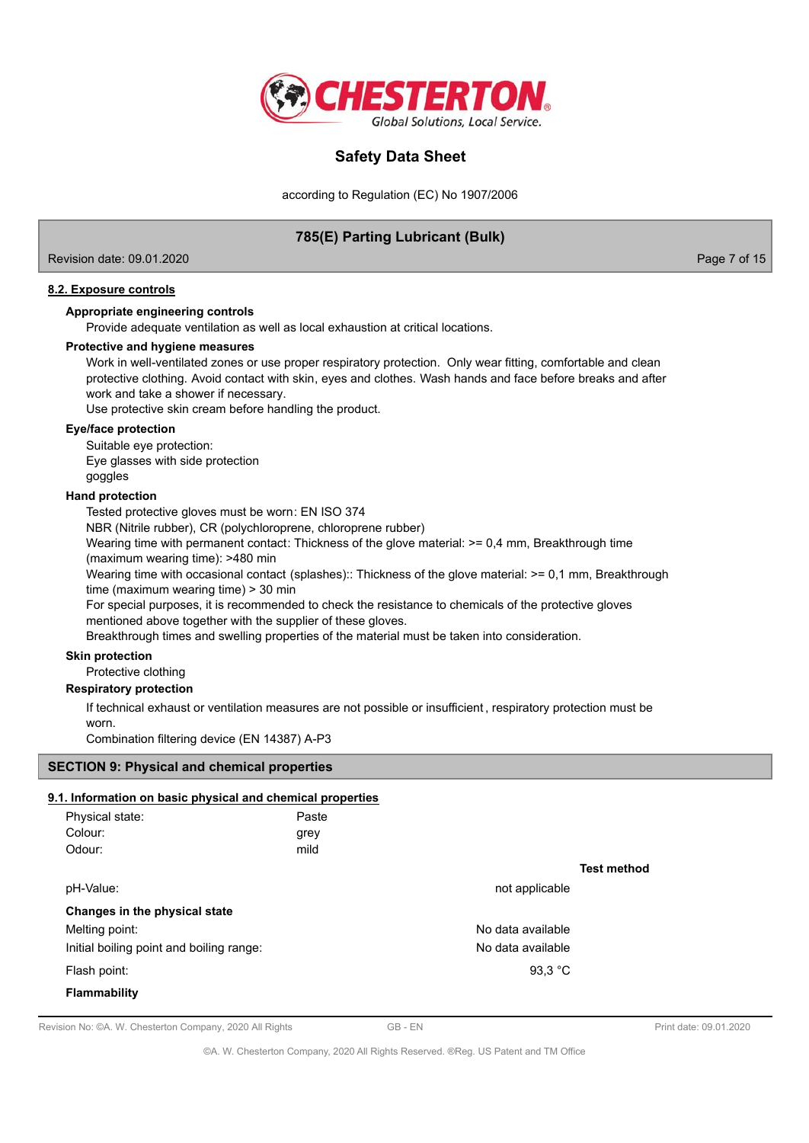

according to Regulation (EC) No 1907/2006

# **785(E) Parting Lubricant (Bulk)**

Revision date: 09.01.2020 **Page 7 of 15** and 2011 **Page 7 of 15** and 2012 **Page 7 of 15** 

# **8.2. Exposure controls**

### **Appropriate engineering controls**

Provide adequate ventilation as well as local exhaustion at critical locations.

### **Protective and hygiene measures**

Work in well-ventilated zones or use proper respiratory protection. Only wear fitting, comfortable and clean protective clothing. Avoid contact with skin, eyes and clothes. Wash hands and face before breaks and after work and take a shower if necessary.

Use protective skin cream before handling the product.

### **Eye/face protection**

Suitable eye protection:

Eye glasses with side protection

# goggles

## **Hand protection**

Tested protective gloves must be worn: EN ISO 374

NBR (Nitrile rubber), CR (polychloroprene, chloroprene rubber)

Wearing time with permanent contact: Thickness of the glove material:  $>= 0.4$  mm, Breakthrough time (maximum wearing time): >480 min

Wearing time with occasional contact (splashes):: Thickness of the glove material: >= 0,1 mm, Breakthrough time (maximum wearing time) > 30 min

For special purposes, it is recommended to check the resistance to chemicals of the protective gloves mentioned above together with the supplier of these gloves.

Breakthrough times and swelling properties of the material must be taken into consideration.

### **Skin protection**

Protective clothing

## **Respiratory protection**

If technical exhaust or ventilation measures are not possible or insufficient , respiratory protection must be worn.

Combination filtering device (EN 14387) A-P3

### **SECTION 9: Physical and chemical properties**

# **9.1. Information on basic physical and chemical properties**

| Physical state:                          | Paste |                   |                    |
|------------------------------------------|-------|-------------------|--------------------|
| Colour:                                  | grey  |                   |                    |
| Odour:                                   | mild  |                   |                    |
|                                          |       |                   | <b>Test method</b> |
| pH-Value:                                |       | not applicable    |                    |
| Changes in the physical state            |       |                   |                    |
| Melting point:                           |       | No data available |                    |
| Initial boiling point and boiling range: |       | No data available |                    |
| Flash point:                             |       | 93,3 $^{\circ}$ C |                    |
| <b>Flammability</b>                      |       |                   |                    |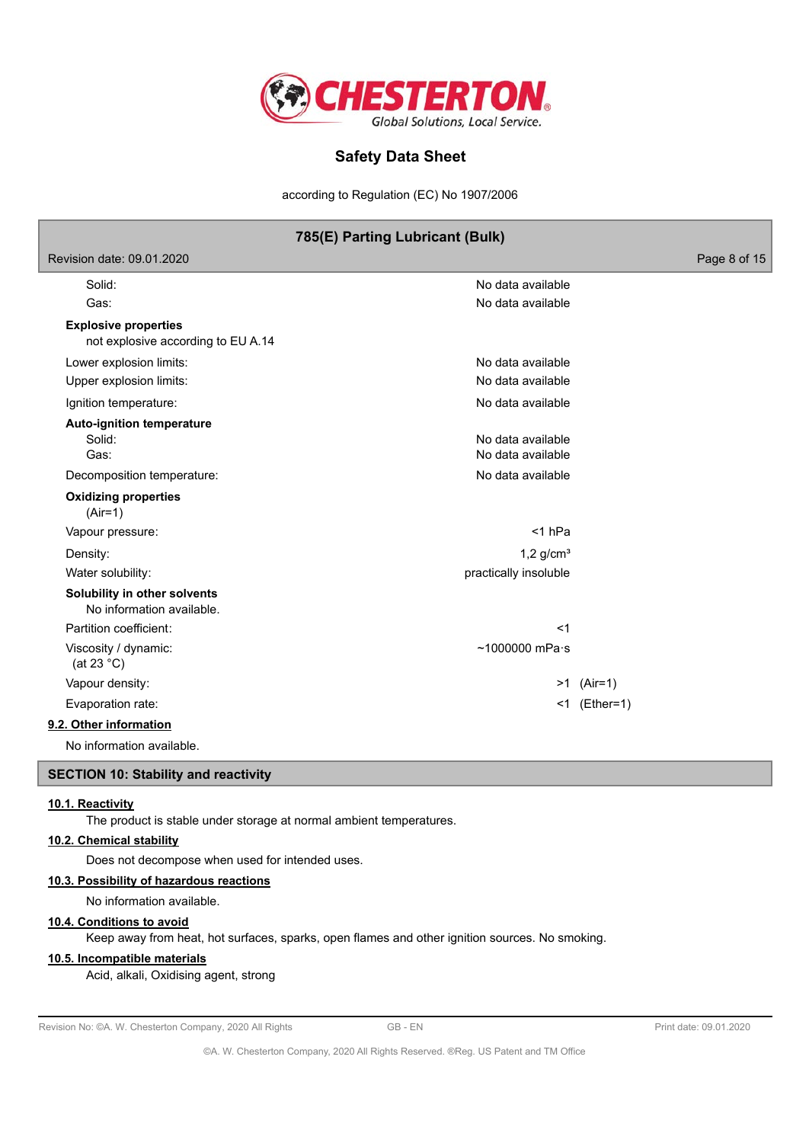

according to Regulation (EC) No 1907/2006

|                                                                   | 785(E) Parting Lubricant (Bulk)        |              |
|-------------------------------------------------------------------|----------------------------------------|--------------|
| Revision date: 09.01.2020                                         |                                        | Page 8 of 15 |
| Solid:<br>Gas:                                                    | No data available<br>No data available |              |
| <b>Explosive properties</b><br>not explosive according to EU A.14 |                                        |              |
| Lower explosion limits:                                           | No data available                      |              |
| Upper explosion limits:                                           | No data available                      |              |
| Ignition temperature:                                             | No data available                      |              |
| <b>Auto-ignition temperature</b><br>Solid:<br>Gas:                | No data available<br>No data available |              |
| Decomposition temperature:                                        | No data available                      |              |
| <b>Oxidizing properties</b><br>$(Air=1)$                          |                                        |              |
| Vapour pressure:                                                  | $<$ 1 hPa                              |              |
| Density:                                                          | $1,2$ g/cm <sup>3</sup>                |              |
| Water solubility:                                                 | practically insoluble                  |              |
| Solubility in other solvents<br>No information available.         |                                        |              |
| Partition coefficient:                                            | $<$ 1                                  |              |
| Viscosity / dynamic:<br>(at 23 $^{\circ}$ C)                      | $~1000000$ mPa $\cdot$ s               |              |
| Vapour density:                                                   |                                        | $>1$ (Air=1) |
| Evaporation rate:                                                 |                                        | <1 (Ether=1) |
| 9.2. Other information                                            |                                        |              |
|                                                                   |                                        |              |

No information available.

# **SECTION 10: Stability and reactivity**

## **10.1. Reactivity**

The product is stable under storage at normal ambient temperatures.

### **10.2. Chemical stability**

Does not decompose when used for intended uses.

### **10.3. Possibility of hazardous reactions**

No information available.

## **10.4. Conditions to avoid**

Keep away from heat, hot surfaces, sparks, open flames and other ignition sources. No smoking.

## **10.5. Incompatible materials**

Acid, alkali, Oxidising agent, strong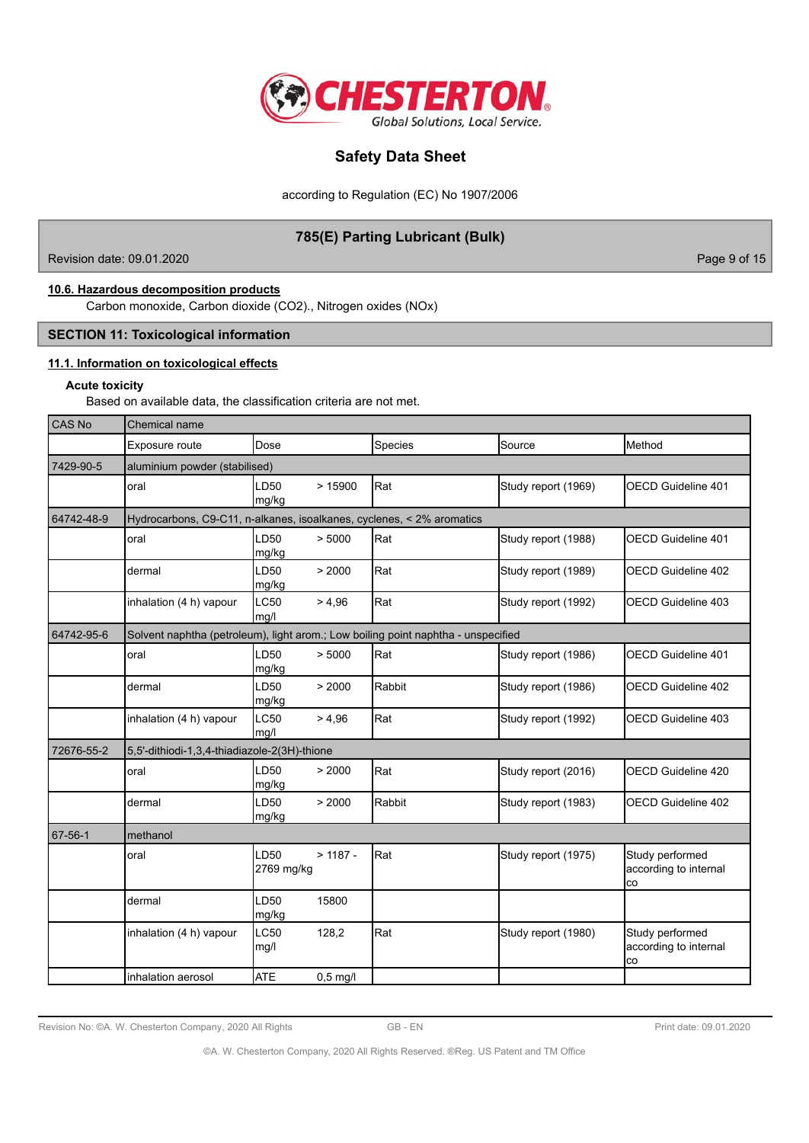

according to Regulation (EC) No 1907/2006

# **785(E) Parting Lubricant (Bulk)**

Revision date: 09.01.2020 **Page 9 of 15** New York 2012 12:00 Page 9 of 15

# **10.6. Hazardous decomposition products**

Carbon monoxide, Carbon dioxide (CO2)., Nitrogen oxides (NOx)

# **SECTION 11: Toxicological information**

# **11.1. Information on toxicological effects**

## **Acute toxicity**

Based on available data, the classification criteria are not met.

| CAS No     | <b>Chemical name</b>                                                  |                     |            |                                                                                   |                     |                                                |  |
|------------|-----------------------------------------------------------------------|---------------------|------------|-----------------------------------------------------------------------------------|---------------------|------------------------------------------------|--|
|            | Exposure route                                                        | Dose                |            | Species                                                                           | Source              | Method                                         |  |
| 7429-90-5  | aluminium powder (stabilised)                                         |                     |            |                                                                                   |                     |                                                |  |
|            | oral                                                                  | LD50<br>mg/kg       | >15900     | Rat                                                                               | Study report (1969) | <b>OECD Guideline 401</b>                      |  |
| 64742-48-9 | Hydrocarbons, C9-C11, n-alkanes, isoalkanes, cyclenes, < 2% aromatics |                     |            |                                                                                   |                     |                                                |  |
|            | oral                                                                  | LD50<br>mg/kg       | > 5000     | Rat                                                                               | Study report (1988) | <b>OECD Guideline 401</b>                      |  |
|            | dermal                                                                | LD50<br>mg/kg       | > 2000     | Rat                                                                               | Study report (1989) | <b>OECD Guideline 402</b>                      |  |
|            | inhalation (4 h) vapour                                               | LC50<br>mg/l        | > 4.96     | Rat                                                                               | Study report (1992) | <b>OECD Guideline 403</b>                      |  |
| 64742-95-6 |                                                                       |                     |            | Solvent naphtha (petroleum), light arom.; Low boiling point naphtha - unspecified |                     |                                                |  |
|            | oral                                                                  | LD50<br>mg/kg       | > 5000     | Rat                                                                               | Study report (1986) | <b>OECD Guideline 401</b>                      |  |
|            | dermal                                                                | LD50<br>mg/kg       | > 2000     | Rabbit                                                                            | Study report (1986) | OECD Guideline 402                             |  |
|            | inhalation (4 h) vapour                                               | <b>LC50</b><br>mg/l | > 4,96     | Rat                                                                               | Study report (1992) | <b>OECD Guideline 403</b>                      |  |
| 72676-55-2 | 5,5'-dithiodi-1,3,4-thiadiazole-2(3H)-thione                          |                     |            |                                                                                   |                     |                                                |  |
|            | oral                                                                  | LD50<br>mg/kg       | > 2000     | Rat                                                                               | Study report (2016) | <b>OECD Guideline 420</b>                      |  |
|            | dermal                                                                | LD50<br>mg/kg       | > 2000     | Rabbit                                                                            | Study report (1983) | OECD Guideline 402                             |  |
| 67-56-1    | methanol                                                              |                     |            |                                                                                   |                     |                                                |  |
|            | oral                                                                  | LD50<br>2769 mg/kg  | $> 1187 -$ | Rat                                                                               | Study report (1975) | Study performed<br>according to internal<br>co |  |
|            | dermal                                                                | LD50<br>mg/kg       | 15800      |                                                                                   |                     |                                                |  |
|            | inhalation (4 h) vapour                                               | LC50<br>mg/l        | 128,2      | Rat                                                                               | Study report (1980) | Study performed<br>according to internal<br>co |  |
|            | inhalation aerosol                                                    | <b>ATE</b>          | $0.5$ mg/l |                                                                                   |                     |                                                |  |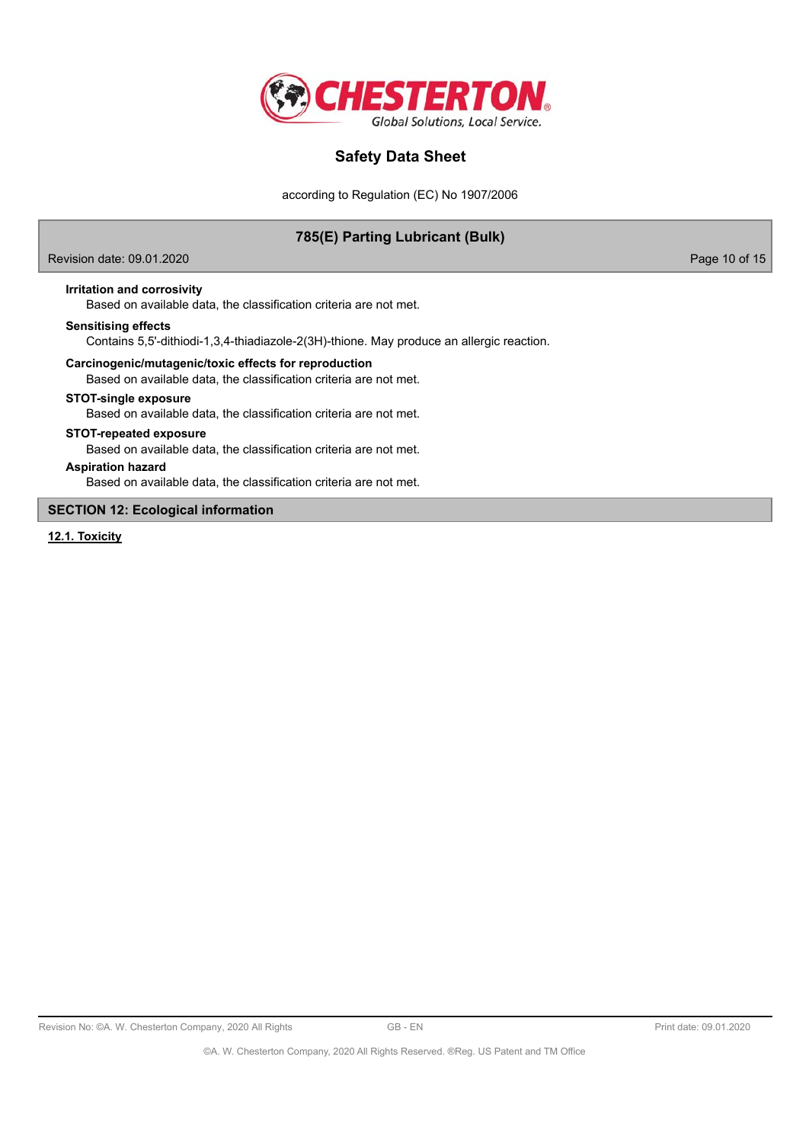

according to Regulation (EC) No 1907/2006

# **785(E) Parting Lubricant (Bulk)**

Revision date: 09.01.2020 Page 10 of 15

**Irritation and corrosivity**

Based on available data, the classification criteria are not met.

### **Sensitising effects**

Contains 5,5'-dithiodi-1,3,4-thiadiazole-2(3H)-thione. May produce an allergic reaction.

# **Carcinogenic/mutagenic/toxic effects for reproduction**

Based on available data, the classification criteria are not met.

### **STOT-single exposure**

Based on available data, the classification criteria are not met.

### **STOT-repeated exposure**

Based on available data, the classification criteria are not met.

## **Aspiration hazard**

Based on available data, the classification criteria are not met.

### **SECTION 12: Ecological information**

**12.1. Toxicity**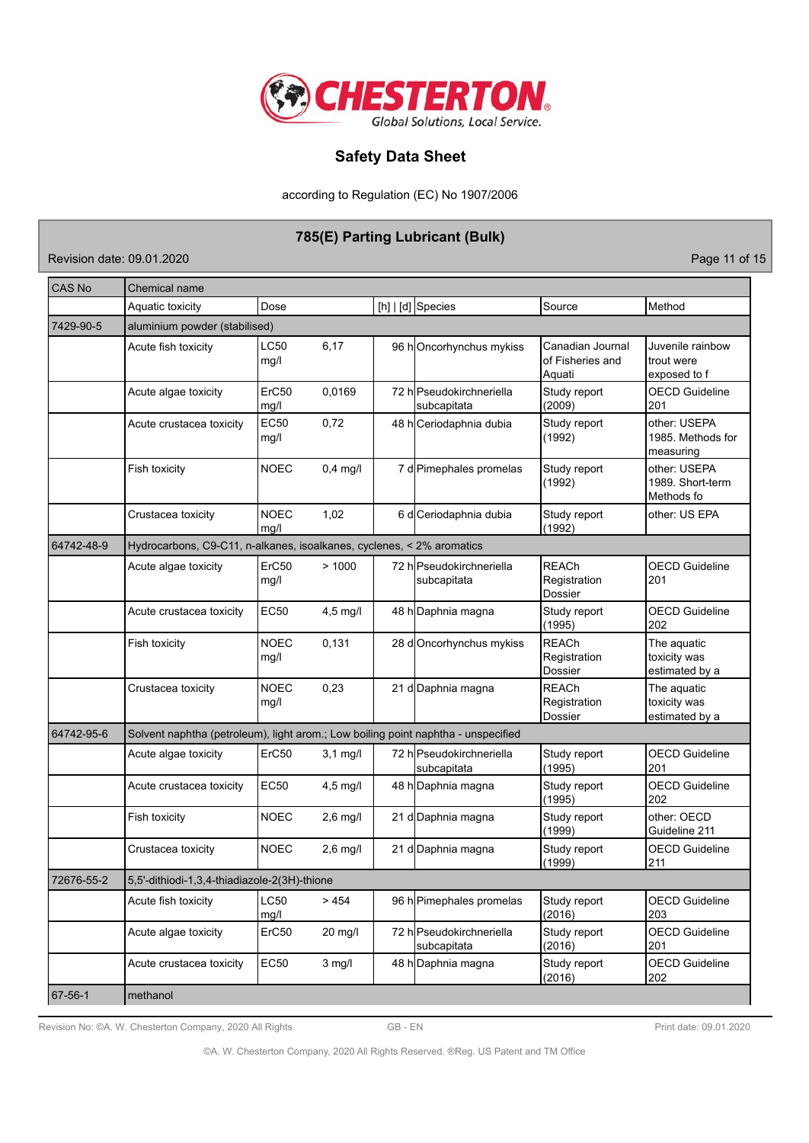

according to Regulation (EC) No 1907/2006

# **785(E) Parting Lubricant (Bulk)**

Revision date: 09.01.2020 **Page 11 of 15** 

| <b>CAS No</b> | Chemical name                                                                     |                           |            |  |                                         |                                                |                                                |
|---------------|-----------------------------------------------------------------------------------|---------------------------|------------|--|-----------------------------------------|------------------------------------------------|------------------------------------------------|
|               | Aquatic toxicity                                                                  | Dose                      |            |  | [h] $ d]$ Species                       | Source                                         | Method                                         |
| 7429-90-5     | aluminium powder (stabilised)                                                     |                           |            |  |                                         |                                                |                                                |
|               | Acute fish toxicity                                                               | LC50<br>mg/l              | 6,17       |  | 96 hOncorhynchus mykiss                 | Canadian Journal<br>of Fisheries and<br>Aquati | Juvenile rainbow<br>trout were<br>exposed to f |
|               | Acute algae toxicity                                                              | ErC <sub>50</sub><br>mg/l | 0,0169     |  | 72 hlPseudokirchneriella<br>subcapitata | Study report<br>(2009)                         | <b>OECD Guideline</b><br>201                   |
|               | Acute crustacea toxicity                                                          | EC50<br>mg/l              | 0,72       |  | 48 h Ceriodaphnia dubia                 | Study report<br>(1992)                         | other: USEPA<br>1985. Methods for<br>measuring |
|               | Fish toxicity                                                                     | <b>NOEC</b>               | $0,4$ mg/l |  | 7 d Pimephales promelas                 | Study report<br>(1992)                         | other: USEPA<br>1989. Short-term<br>Methods fo |
|               | Crustacea toxicity                                                                | <b>NOEC</b><br>mq/l       | 1,02       |  | 6 d Ceriodaphnia dubia                  | Study report<br>(1992)                         | other: US EPA                                  |
| 64742-48-9    | Hydrocarbons, C9-C11, n-alkanes, isoalkanes, cyclenes, < 2% aromatics             |                           |            |  |                                         |                                                |                                                |
|               | Acute algae toxicity                                                              | ErC50<br>mg/l             | >1000      |  | 72 hlPseudokirchneriella<br>subcapitata | <b>REACh</b><br>Registration<br>Dossier        | <b>OECD</b> Guideline<br>201                   |
|               | Acute crustacea toxicity                                                          | <b>EC50</b>               | $4,5$ mg/l |  | 48 h Daphnia magna                      | Study report<br>(1995)                         | <b>OECD Guideline</b><br>202                   |
|               | Fish toxicity                                                                     | <b>NOEC</b><br>mg/l       | 0,131      |  | 28 d Oncorhynchus mykiss                | <b>REACh</b><br>Registration<br>Dossier        | The aquatic<br>toxicity was<br>estimated by a  |
|               | Crustacea toxicity                                                                | <b>NOEC</b><br>mg/l       | 0,23       |  | 21 d Daphnia magna                      | <b>REACh</b><br>Registration<br>Dossier        | The aquatic<br>toxicity was<br>estimated by a  |
| 64742-95-6    | Solvent naphtha (petroleum), light arom.; Low boiling point naphtha - unspecified |                           |            |  |                                         |                                                |                                                |
|               | Acute algae toxicity                                                              | ErC50                     | $3,1$ mg/l |  | 72 h Pseudokirchneriella<br>subcapitata | Study report<br>(1995)                         | <b>OECD Guideline</b><br>201                   |
|               | Acute crustacea toxicity                                                          | <b>EC50</b>               | $4,5$ mg/l |  | 48 h Daphnia magna                      | Study report<br>(1995)                         | <b>OECD Guideline</b><br>202                   |
|               | Fish toxicity                                                                     | <b>NOEC</b>               | $2,6$ mg/l |  | 21 d Daphnia magna                      | Study report<br>(1999)                         | other: OECD<br>Guideline 211                   |
|               | Crustacea toxicity                                                                | <b>NOEC</b>               | $2,6$ mg/l |  | 21 d Daphnia magna                      | Study report<br>(1999)                         | <b>OECD Guideline</b><br>211                   |
| 72676-55-2    | 5,5'-dithiodi-1,3,4-thiadiazole-2(3H)-thione                                      |                           |            |  |                                         |                                                |                                                |
|               | Acute fish toxicity                                                               | <b>LC50</b><br>mg/l       | > 454      |  | 96 h Pimephales promelas                | Study report<br>(2016)                         | <b>OECD Guideline</b><br>203                   |
|               | Acute algae toxicity                                                              | ErC50                     | 20 mg/l    |  | 72 hlPseudokirchneriella<br>subcapitata | Study report<br>(2016)                         | <b>OECD Guideline</b><br>201                   |
|               | Acute crustacea toxicity                                                          | <b>EC50</b>               | $3$ mg/l   |  | 48 h Daphnia magna                      | Study report<br>(2016)                         | <b>OECD Guideline</b><br>202                   |
| 67-56-1       | methanol                                                                          |                           |            |  |                                         |                                                |                                                |

Revision No: ©A. W. Chesterton Company, 2020 All Rights GB - EN GB - EN Print date: 09.01.2020

©A. W. Chesterton Company, 2020 All Rights Reserved. ®Reg. US Patent and TM Office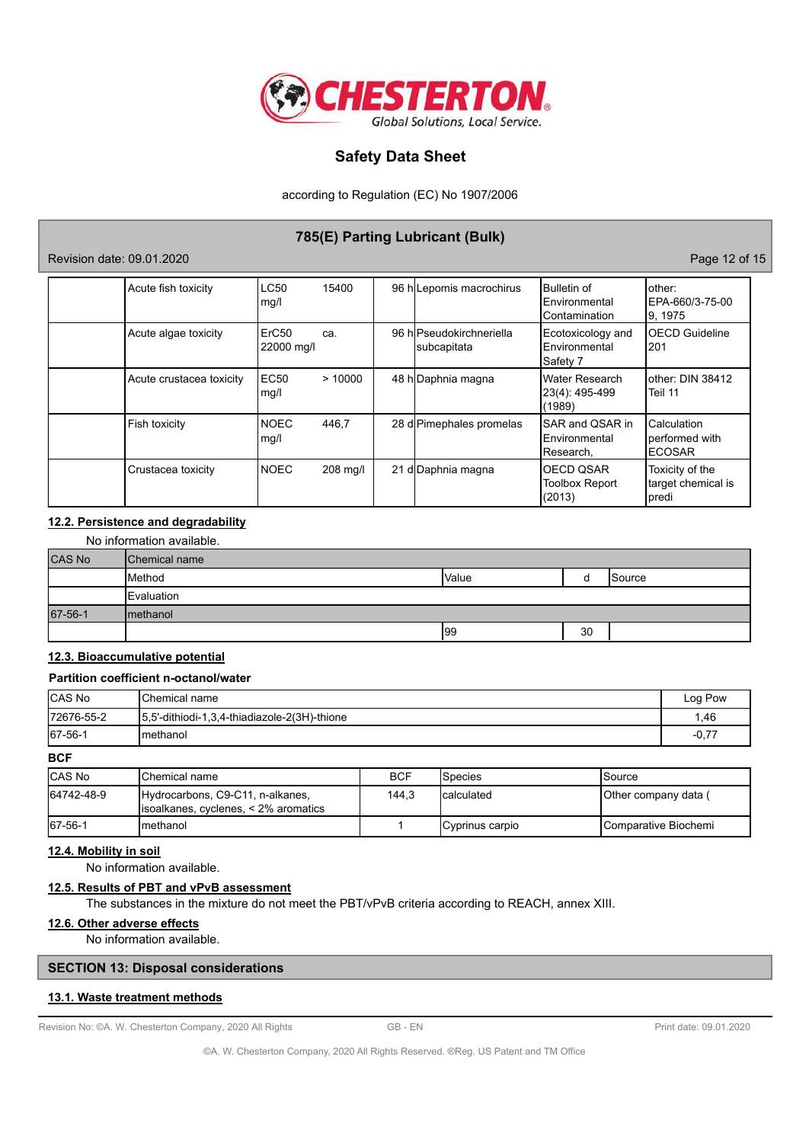

according to Regulation (EC) No 1907/2006

# **785(E) Parting Lubricant (Bulk)**

## Revision date: 09.01.2020 Page 12 of 15

| Acute fish toxicity      | LC50<br>mg/l                    | 15400    | 96 h Lepomis macrochirus                | Bulletin of<br><b>IEnvironmental</b><br>Contamination  | lother:<br>EPA-660/3-75-00<br>9, 1975           |
|--------------------------|---------------------------------|----------|-----------------------------------------|--------------------------------------------------------|-------------------------------------------------|
| Acute algae toxicity     | ErC <sub>50</sub><br>22000 mg/l | ca.      | 96 hlPseudokirchneriella<br>subcapitata | Ecotoxicology and<br>Environmental<br> Safety 7        | <b>OECD Guideline</b><br>201                    |
| Acute crustacea toxicity | <b>EC50</b><br>mg/l             | >10000   | 48 h Daphnia magna                      | Water Research<br>23(4): 495-499<br>(1989)             | other: DIN 38412<br>Teil 11                     |
| Fish toxicity            | <b>NOEC</b><br>mg/l             | 446,7    | 28 d Pimephales promelas                | <b>ISAR and QSAR in</b><br>Environmental<br> Research, | Calculation<br>performed with<br><b>ECOSAR</b>  |
| Crustacea toxicity       | <b>NOEC</b>                     | 208 mg/l | 21 d Daphnia magna                      | <b>IOECD QSAR</b><br><b>Toolbox Report</b><br>(2013)   | Toxicity of the<br>target chemical is<br> predi |

# **12.2. Persistence and degradability**

|  | No information available. |  |
|--|---------------------------|--|
|--|---------------------------|--|

| CAS No  | <b>Chemical name</b> |       |    |         |
|---------|----------------------|-------|----|---------|
|         | Method               | Value |    | lSource |
|         | Evaluation           |       |    |         |
| 67-56-1 | Imethanol            |       |    |         |
|         |                      | 99    | 30 |         |

# **12.3. Bioaccumulative potential**

### **Partition coefficient n-octanol/water**

| <b>ICAS No</b> | <b>IChemical name</b>                         | Log Pow |
|----------------|-----------------------------------------------|---------|
| 172676-55-2    | 15,5'-dithiodi-1,3,4-thiadiazole-2(3H)-thione | .46     |
| 67-56-1        | Imethanol                                     | $-0.77$ |

## **BCF**

| <b>CAS No</b> | IChemical name                                                            | <b>BCF</b> | <b>I</b> Species | ISource                       |
|---------------|---------------------------------------------------------------------------|------------|------------------|-------------------------------|
| 64742-48-9    | Hydrocarbons, C9-C11, n-alkanes,<br>lisoalkanes, cyclenes, < 2% aromatics | 144.3      | Icalculated      | Other company data (          |
| 67-56-1       | Imethanol                                                                 |            | Cyprinus carpio  | <b>I</b> Comparative Biochemi |

# **12.4. Mobility in soil**

No information available.

# **12.5. Results of PBT and vPvB assessment**

The substances in the mixture do not meet the PBT/vPvB criteria according to REACH, annex XIII.

## **12.6. Other adverse effects**

No information available.

## **SECTION 13: Disposal considerations**

## **13.1. Waste treatment methods**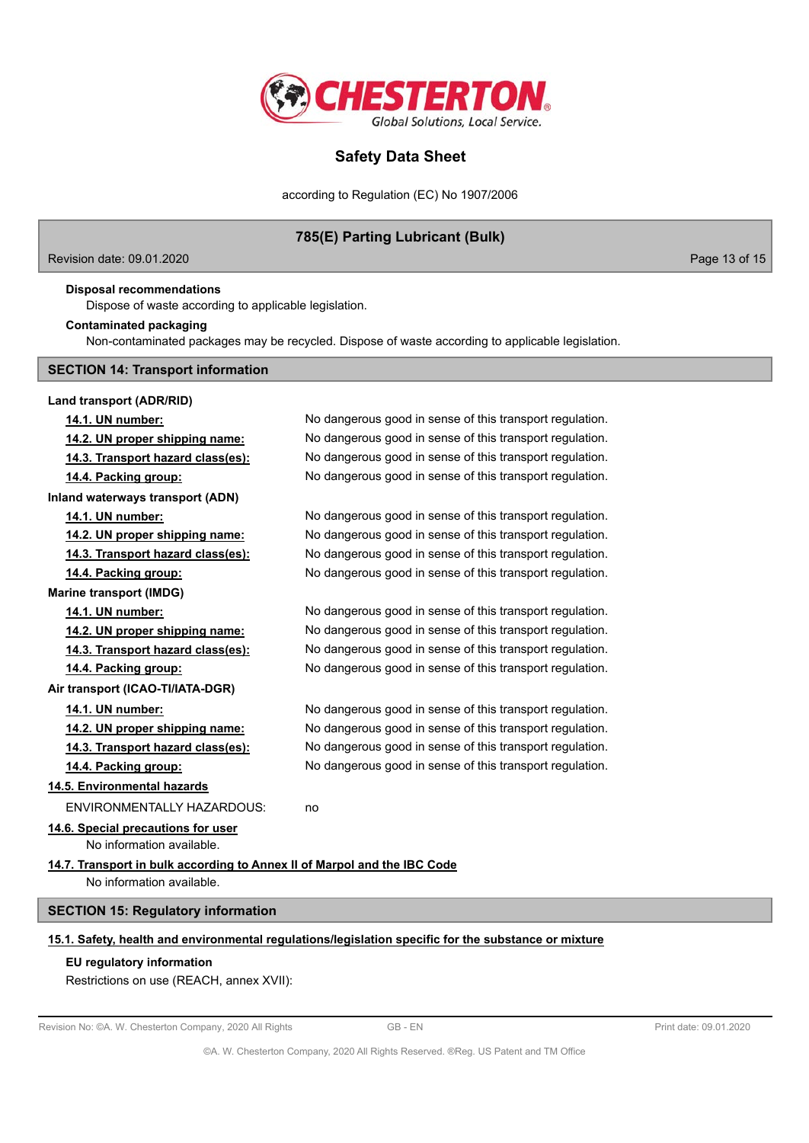

according to Regulation (EC) No 1907/2006

# **785(E) Parting Lubricant (Bulk)**

Revision date: 09.01.2020 Page 13 of 15

**Disposal recommendations**

Dispose of waste according to applicable legislation.

### **Contaminated packaging**

Non-contaminated packages may be recycled. Dispose of waste according to applicable legislation.

### **SECTION 14: Transport information**

**Land transport (ADR/RID) 14.1. UN number:** No dangerous good in sense of this transport regulation. **14.2. UN proper shipping name:** No dangerous good in sense of this transport regulation. **14.3. Transport hazard class(es):** No dangerous good in sense of this transport regulation. **14.4. Packing group:** No dangerous good in sense of this transport regulation. **Inland waterways transport (ADN) 14.1. UN number:** No dangerous good in sense of this transport regulation. **14.2. UN proper shipping name:** No dangerous good in sense of this transport regulation. **14.3. Transport hazard class(es):** No dangerous good in sense of this transport regulation. **14.4. Packing group:** No dangerous good in sense of this transport regulation. **Marine transport (IMDG) 14.1. UN number:** No dangerous good in sense of this transport regulation. **14.2. UN proper shipping name:** No dangerous good in sense of this transport regulation. **14.3. Transport hazard class(es):** No dangerous good in sense of this transport regulation. **14.4. Packing group:** No dangerous good in sense of this transport regulation. **Air transport (ICAO-TI/IATA-DGR) 14.1. UN number:** No dangerous good in sense of this transport regulation. **14.2. UN proper shipping name:** No dangerous good in sense of this transport regulation. **14.3. Transport hazard class(es):** No dangerous good in sense of this transport regulation. **14.4. Packing group:** No dangerous good in sense of this transport regulation. **14.5. Environmental hazards** ENVIRONMENTALLY HAZARDOUS: no **14.6. Special precautions for user** No information available. **14.7. Transport in bulk according to Annex II of Marpol and the IBC Code** No information available. **SECTION 15: Regulatory information 15.1. Safety, health and environmental regulations/legislation specific for the substance or mixture**

# **EU regulatory information**

Restrictions on use (REACH, annex XVII):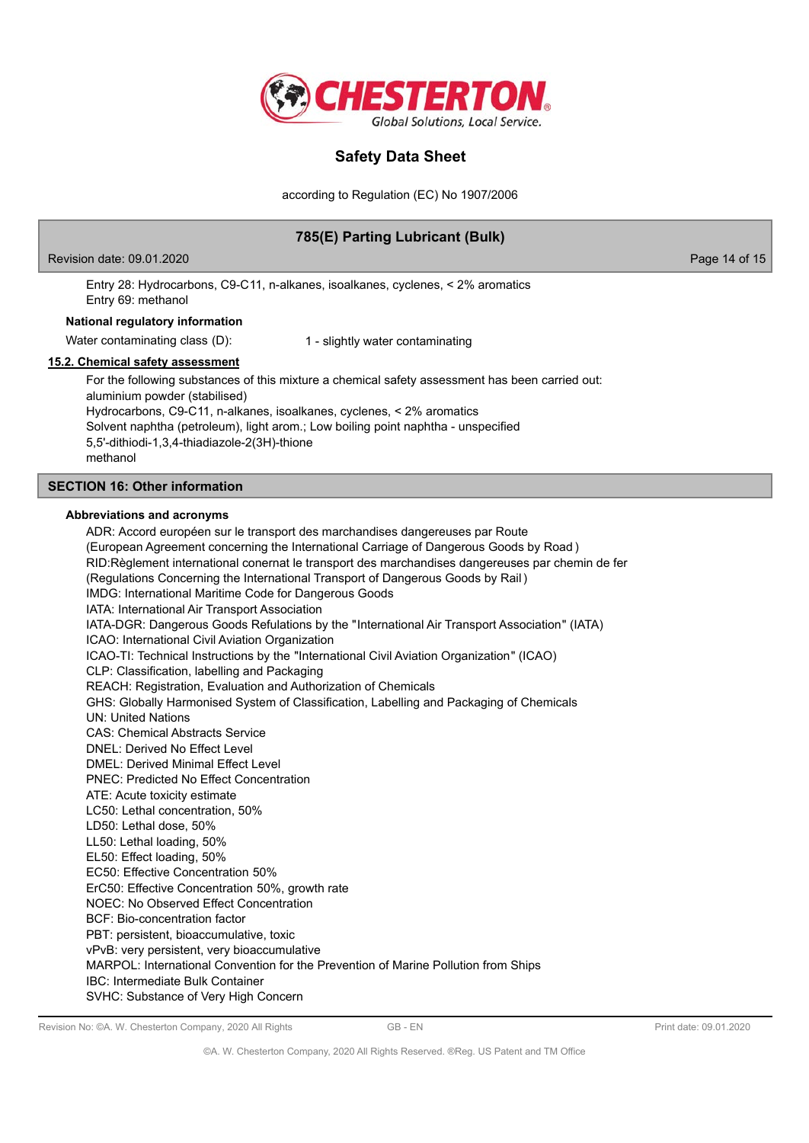

according to Regulation (EC) No 1907/2006

# **785(E) Parting Lubricant (Bulk)**

Revision date: 09.01.2020 Page 14 of 15

Entry 28: Hydrocarbons, C9-C11, n-alkanes, isoalkanes, cyclenes, < 2% aromatics Entry 69: methanol

### **National regulatory information**

Water contaminating class (D): 1 - slightly water contaminating

## **15.2. Chemical safety assessment**

For the following substances of this mixture a chemical safety assessment has been carried out: aluminium powder (stabilised) Hydrocarbons, C9-C11, n-alkanes, isoalkanes, cyclenes, < 2% aromatics Solvent naphtha (petroleum), light arom.; Low boiling point naphtha - unspecified 5,5'-dithiodi-1,3,4-thiadiazole-2(3H)-thione methanol

## **SECTION 16: Other information**

### **Abbreviations and acronyms**

ADR: Accord européen sur le transport des marchandises dangereuses par Route (European Agreement concerning the International Carriage of Dangerous Goods by Road ) RID:Règlement international conernat le transport des marchandises dangereuses par chemin de fer (Regulations Concerning the International Transport of Dangerous Goods by Rail ) IMDG: International Maritime Code for Dangerous Goods IATA: International Air Transport Association IATA-DGR: Dangerous Goods Refulations by the "International Air Transport Association" (IATA) ICAO: International Civil Aviation Organization ICAO-TI: Technical Instructions by the "International Civil Aviation Organization" (ICAO) CLP: Classification, labelling and Packaging REACH: Registration, Evaluation and Authorization of Chemicals GHS: Globally Harmonised System of Classification, Labelling and Packaging of Chemicals UN: United Nations CAS: Chemical Abstracts Service DNEL: Derived No Effect Level DMEL: Derived Minimal Effect Level PNEC: Predicted No Effect Concentration ATE: Acute toxicity estimate LC50: Lethal concentration, 50% LD50: Lethal dose, 50% LL50: Lethal loading, 50% EL50: Effect loading, 50% EC50: Effective Concentration 50% ErC50: Effective Concentration 50%, growth rate NOEC: No Observed Effect Concentration BCF: Bio-concentration factor PBT: persistent, bioaccumulative, toxic vPvB: very persistent, very bioaccumulative MARPOL: International Convention for the Prevention of Marine Pollution from Ships IBC: Intermediate Bulk Container SVHC: Substance of Very High Concern

Revision No: ©A. W. Chesterton Company, 2020 All Rights GB - EN GB - EN Print date: 09.01.2020